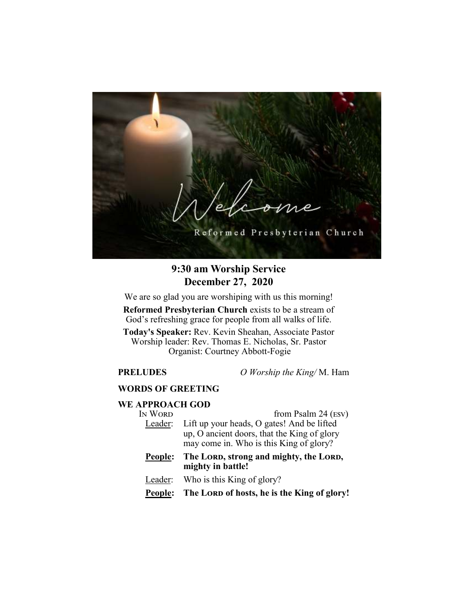

**9:30 am Worship Service December 27, 2020** 

We are so glad you are worshiping with us this morning!

**Reformed Presbyterian Church** exists to be a stream of God's refreshing grace for people from all walks of life.

**Today's Speaker:** Rev. Kevin Sheahan, Associate Pastor Worship leader: Rev. Thomas E. Nicholas, Sr. Pastor Organist: Courtney Abbott-Fogie

**PRELUDES** *O Worship the King/* M. Ham

### **WORDS OF GREETING**

# **WE APPROACH GOD**

|         | People: The LORD, strong and mighty, the LORD,                                         |
|---------|----------------------------------------------------------------------------------------|
|         | up, O ancient doors, that the King of glory<br>may come in. Who is this King of glory? |
| Leader: | Lift up your heads, O gates! And be lifted                                             |
| In Word | from Psalm $24$ (ESV)                                                                  |

**mighty in battle!** 

Leader: Who is this King of glory?

People: The LORD of hosts, he is the King of glory!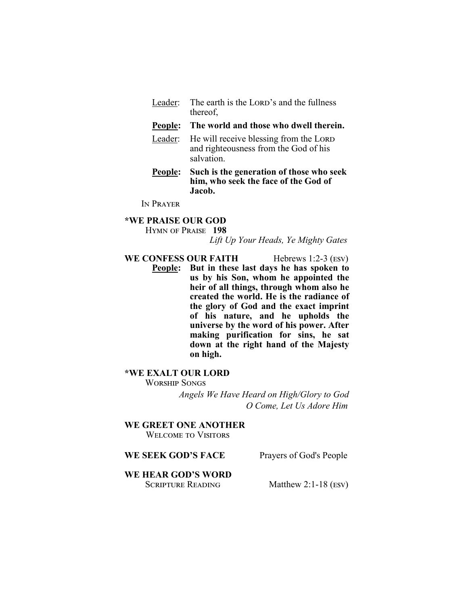- Leader: The earth is the LORD's and the fullness thereof,
- **People: The world and those who dwell therein.**
- Leader: He will receive blessing from the LORD and righteousness from the God of his salvation.
- **People: Such is the generation of those who seek him, who seek the face of the God of Jacob.**

IN PRAYER

#### **\*WE PRAISE OUR GOD**

HYMN OF PRAISE 198

*Lift Up Your Heads, Ye Mighty Gates* 

**WE CONFESS OUR FAITH** Hebrews 1:2-3 (ESV) **People: But in these last days he has spoken to us by his Son, whom he appointed the heir of all things, through whom also he created the world. He is the radiance of the glory of God and the exact imprint of his nature, and he upholds the universe by the word of his power. After making purification for sins, he sat down at the right hand of the Majesty on high.**

#### **\*WE EXALT OUR LORD**

**WORSHIP SONGS** 

 *Angels We Have Heard on High/Glory to God O Come, Let Us Adore Him* 

#### **WE GREET ONE ANOTHER**

WELCOME TO VISITORS

#### WE SEEK GOD'S FACE Prayers of God's People

#### **WE HEAR GOD'S WORD**

SCRIPTURE READING Matthew 2:1-18 (ESV)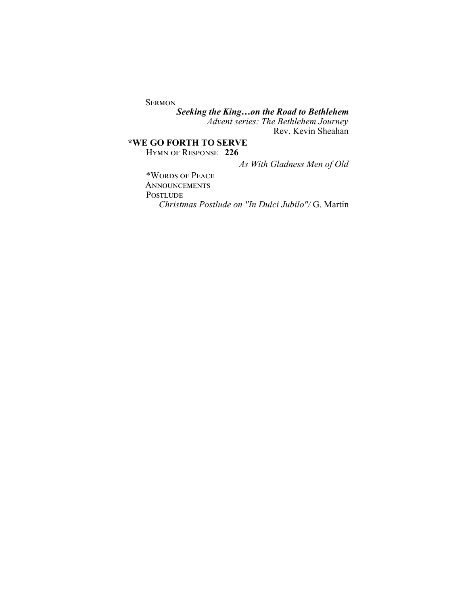SERMON

 *Seeking the King…on the Road to Bethlehem Advent series: The Bethlehem Journey*  Rev. Kevin Sheahan

## **\*WE GO FORTH TO SERVE**

HYMN OF RESPONSE 226

*As With Gladness Men of Old*

\*Words of Peace ANNOUNCEMENTS Postlude *Christmas Postlude on "In Dulci Jubilo"/* G. Martin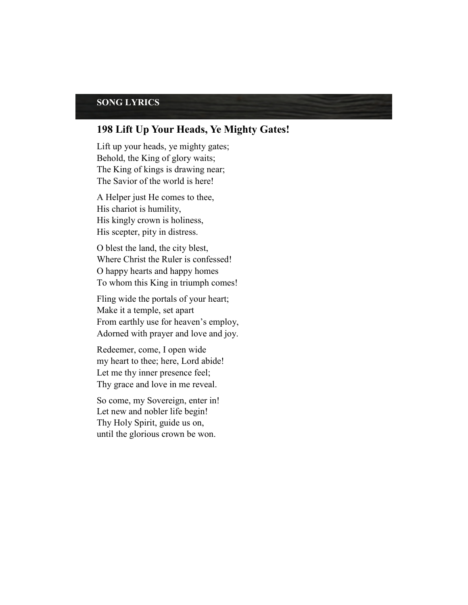# **SONG LYRICS**

# **198 Lift Up Your Heads, Ye Mighty Gates!**

Lift up your heads, ye mighty gates; Behold, the King of glory waits; The King of kings is drawing near; The Savior of the world is here!

A Helper just He comes to thee, His chariot is humility, His kingly crown is holiness, His scepter, pity in distress.

O blest the land, the city blest, Where Christ the Ruler is confessed! O happy hearts and happy homes To whom this King in triumph comes!

Fling wide the portals of your heart; Make it a temple, set apart From earthly use for heaven's employ, Adorned with prayer and love and joy.

Redeemer, come, I open wide my heart to thee; here, Lord abide! Let me thy inner presence feel; Thy grace and love in me reveal.

So come, my Sovereign, enter in! Let new and nobler life begin! Thy Holy Spirit, guide us on, until the glorious crown be won.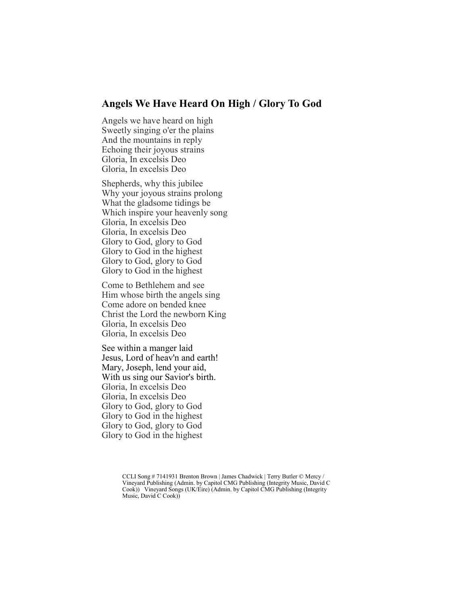## **Angels We Have Heard On High / Glory To God**

Angels we have heard on high Sweetly singing o'er the plains And the mountains in reply Echoing their joyous strains Gloria, In excelsis Deo Gloria, In excelsis Deo

Shepherds, why this jubilee Why your joyous strains prolong What the gladsome tidings be Which inspire your heavenly song Gloria, In excelsis Deo Gloria, In excelsis Deo Glory to God, glory to God Glory to God in the highest Glory to God, glory to God Glory to God in the highest

Come to Bethlehem and see Him whose birth the angels sing Come adore on bended knee Christ the Lord the newborn King Gloria, In excelsis Deo Gloria, In excelsis Deo

See within a manger laid Jesus, Lord of heav'n and earth! Mary, Joseph, lend your aid, With us sing our Savior's birth. Gloria, In excelsis Deo Gloria, In excelsis Deo Glory to God, glory to God Glory to God in the highest Glory to God, glory to God Glory to God in the highest

CCLI Song # 7141931 Brenton Brown | James Chadwick | Terry Butler © Mercy / Vineyard Publishing (Admin. by Capitol CMG Publishing (Integrity Music, David C Cook)) Vineyard Songs (UK/Eire) (Admin. by Capitol CMG Publishing (Integrity Music, David C Cook))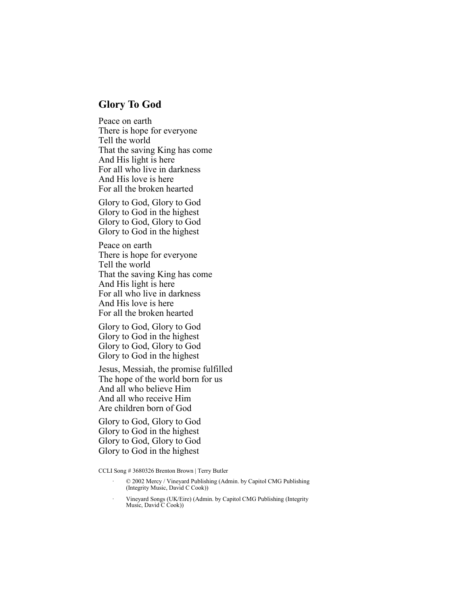## **Glory To God**

Peace on earth There is hope for everyone Tell the world That the saving King has come And His light is here For all who live in darkness And His love is here For all the broken hearted

Glory to God, Glory to God Glory to God in the highest Glory to God, Glory to God Glory to God in the highest

Peace on earth There is hope for everyone Tell the world That the saving King has come And His light is here For all who live in darkness And His love is here For all the broken hearted

Glory to God, Glory to God Glory to God in the highest Glory to God, Glory to God Glory to God in the highest

Jesus, Messiah, the promise fulfilled The hope of the world born for us And all who believe Him And all who receive Him Are children born of God

Glory to God, Glory to God Glory to God in the highest Glory to God, Glory to God Glory to God in the highest

CCLI Song # 3680326 Brenton Brown | Terry Butler

- · © 2002 Mercy / Vineyard Publishing (Admin. by Capitol CMG Publishing (Integrity Music, David C Cook))
- · Vineyard Songs (UK/Eire) (Admin. by Capitol CMG Publishing (Integrity Music, David C Cook))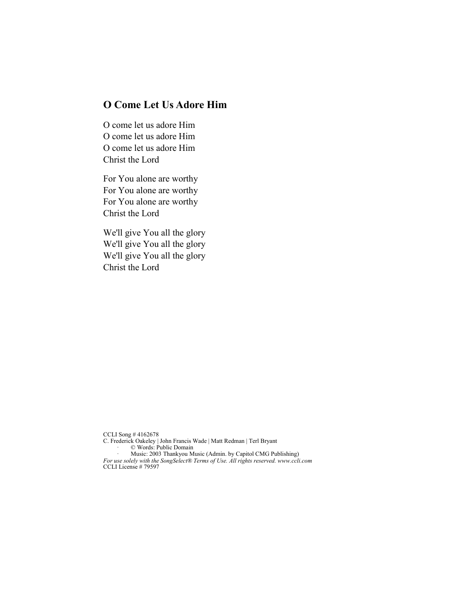# **O Come Let Us Adore Him**

O come let us adore Him O come let us adore Him O come let us adore Him Christ the Lord

For You alone are worthy For You alone are worthy For You alone are worthy Christ the Lord

We'll give You all the glory We'll give You all the glory We'll give You all the glory Christ the Lord

CCLI Song # 4162678 C. Frederick Oakeley | John Francis Wade | Matt Redman | Terl Bryant  $© Words: Public Domain$ · Music: 2003 Thankyou Music (Admin. by Capitol CMG Publishing) *For use solely with the SongSelect® Terms of Use. All rights reserved. www.ccli.com*  CCLI License # 79597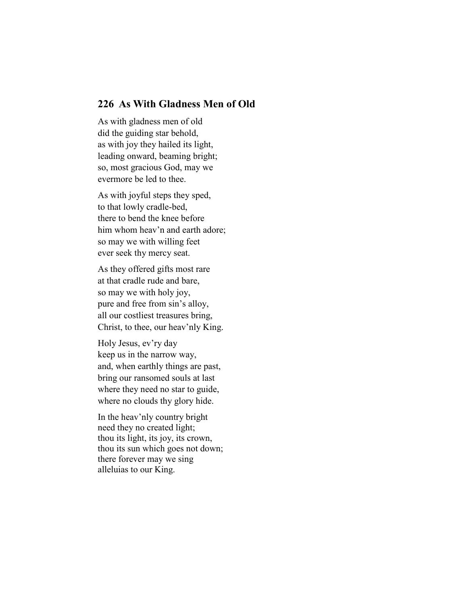# **226 As With Gladness Men of Old**

As with gladness men of old did the guiding star behold, as with joy they hailed its light, leading onward, beaming bright; so, most gracious God, may we evermore be led to thee.

As with joyful steps they sped, to that lowly cradle-bed, there to bend the knee before him whom heav'n and earth adore; so may we with willing feet ever seek thy mercy seat.

As they offered gifts most rare at that cradle rude and bare, so may we with holy joy, pure and free from sin's alloy, all our costliest treasures bring, Christ, to thee, our heav'nly King.

Holy Jesus, ev'ry day keep us in the narrow way, and, when earthly things are past, bring our ransomed souls at last where they need no star to guide, where no clouds thy glory hide.

In the heav'nly country bright need they no created light; thou its light, its joy, its crown, thou its sun which goes not down; there forever may we sing alleluias to our King.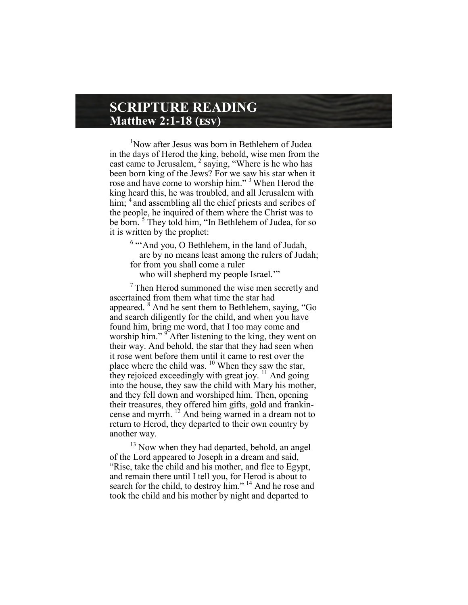# **SCRIPTURE READING Matthew 2:1-18 (ESV)**

<sup>1</sup>Now after Jesus was born in Bethlehem of Judea in the days of Herod the king, behold, wise men from the east came to Jerusalem, <sup>2</sup> saying, "Where is he who has been born king of the Jews? For we saw his star when it rose and have come to worship him."<sup>3</sup> When Herod the king heard this, he was troubled, and all Jerusalem with him;  $\frac{4}{3}$  and assembling all the chief priests and scribes of the people, he inquired of them where the Christ was to be born.<sup>5</sup> They told him, "In Bethlehem of Judea, for so it is written by the prophet:

<sup>6</sup> "And you, O Bethlehem, in the land of Judah, are by no means least among the rulers of Judah; for from you shall come a ruler

who will shepherd my people Israel.'"

<sup>7</sup>Then Herod summoned the wise men secretly and ascertained from them what time the star had appeared. <sup>8</sup> And he sent them to Bethlehem, saying, "Go and search diligently for the child, and when you have found him, bring me word, that I too may come and worship him."<sup>9</sup> After listening to the king, they went on their way. And behold, the star that they had seen when it rose went before them until it came to rest over the place where the child was.  $10$  When they saw the star, they rejoiced exceedingly with great joy.  $11$  And going into the house, they saw the child with Mary his mother, and they fell down and worshiped him. Then, opening their treasures, they offered him gifts, gold and frankincense and myrrh. <sup>12</sup> And being warned in a dream not to return to Herod, they departed to their own country by another way.

<sup>13</sup> Now when they had departed, behold, an angel of the Lord appeared to Joseph in a dream and said, "Rise, take the child and his mother, and flee to Egypt, and remain there until I tell you, for Herod is about to search for the child, to destroy him."<sup>14</sup> And he rose and took the child and his mother by night and departed to